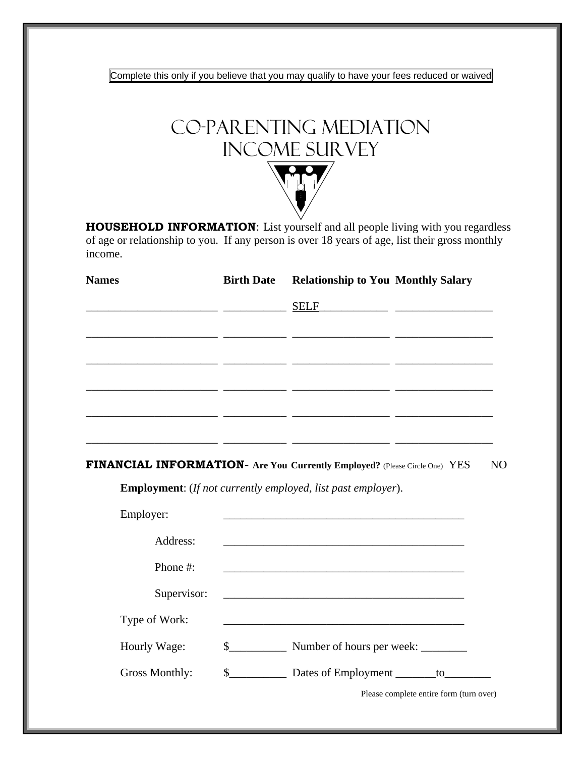Complete this only if you believe that you may qualify to have your fees reduced or waived



**HOUSEHOLD INFORMATION**: List yourself and all people living with you regardless of age or relationship to you. If any person is over 18 years of age, list their gross monthly income.

| <b>Names</b> | <b>Birth Date</b> Relationship to You Monthly Salary |  |
|--------------|------------------------------------------------------|--|
|              |                                                      |  |
|              |                                                      |  |
|              |                                                      |  |
|              |                                                      |  |
|              |                                                      |  |
|              |                                                      |  |
|              |                                                      |  |

**FINANCIAL INFORMATION**- **Are You Currently Employed?** (Please Circle One)YES NO

**Employment**: (*If not currently employed, list past employer*).

| Employer:      |               |                                         |
|----------------|---------------|-----------------------------------------|
| Address:       |               |                                         |
| Phone #:       |               |                                         |
| Supervisor:    |               |                                         |
| Type of Work:  |               |                                         |
| Hourly Wage:   | $\mathcal{S}$ |                                         |
| Gross Monthly: | $\frac{1}{2}$ | Dates of Employment ________ to________ |
|                |               | Please complete entire form (turn over) |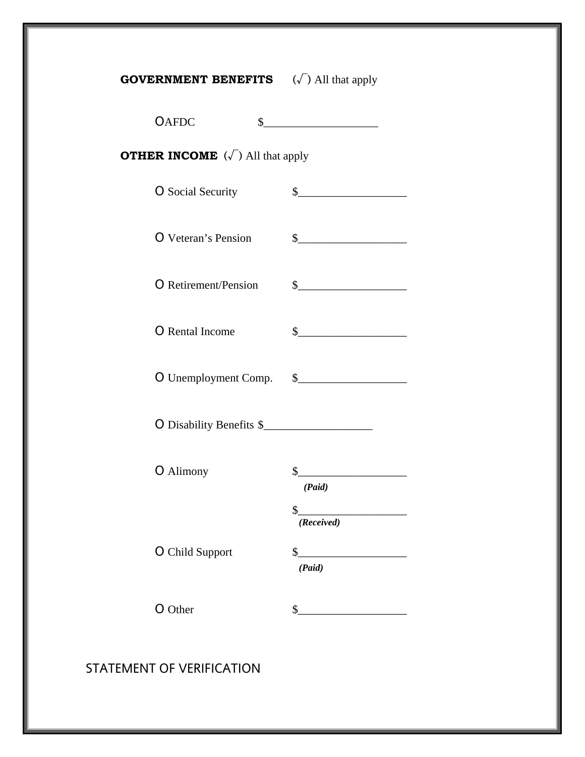| <b>GOVERNMENT BENEFITS</b> $(\sqrt{\ } )$ All that apply |                                                                                                                                                                                                                                                                                                                                                                     |
|----------------------------------------------------------|---------------------------------------------------------------------------------------------------------------------------------------------------------------------------------------------------------------------------------------------------------------------------------------------------------------------------------------------------------------------|
| <b>OAFDC</b>                                             | $\frac{1}{2}$                                                                                                                                                                                                                                                                                                                                                       |
| <b>OTHER INCOME</b> $(\sqrt{})$ All that apply           |                                                                                                                                                                                                                                                                                                                                                                     |
| <b>O</b> Social Security                                 | $\sim$                                                                                                                                                                                                                                                                                                                                                              |
| <b>O</b> Veteran's Pension                               | $\begin{picture}(20,10) \put(0,0){\vector(1,0){100}} \put(15,0){\vector(1,0){100}} \put(15,0){\vector(1,0){100}} \put(15,0){\vector(1,0){100}} \put(15,0){\vector(1,0){100}} \put(15,0){\vector(1,0){100}} \put(15,0){\vector(1,0){100}} \put(15,0){\vector(1,0){100}} \put(15,0){\vector(1,0){100}} \put(15,0){\vector(1,0){100}} \put(15,0){\vector(1,0){100}} \$ |
| <b>O</b> Retirement/Pension                              | $\frac{1}{2}$                                                                                                                                                                                                                                                                                                                                                       |
| O Rental Income                                          | $\frac{1}{2}$                                                                                                                                                                                                                                                                                                                                                       |
|                                                          |                                                                                                                                                                                                                                                                                                                                                                     |
| O Disability Benefits \$                                 |                                                                                                                                                                                                                                                                                                                                                                     |
| <b>O</b> Alimony                                         | s<br>(Paid)<br>\$<br>(Received)                                                                                                                                                                                                                                                                                                                                     |
| <b>O</b> Child Support                                   | \$<br>(Paid)                                                                                                                                                                                                                                                                                                                                                        |
| O Other                                                  | $\mathsf{S}_{\scriptscriptstyle{-}}$                                                                                                                                                                                                                                                                                                                                |
|                                                          |                                                                                                                                                                                                                                                                                                                                                                     |

STATEMENT OF VERIFICATION